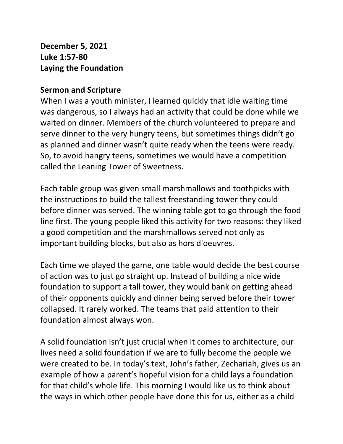**December 5, 2021 Luke 1:57-80 Laying the Foundation**

## **Sermon and Scripture**

When I was a youth minister, I learned quickly that idle waiting time was dangerous, so I always had an activity that could be done while we waited on dinner. Members of the church volunteered to prepare and serve dinner to the very hungry teens, but sometimes things didn't go as planned and dinner wasn't quite ready when the teens were ready. So, to avoid hangry teens, sometimes we would have a competition called the Leaning Tower of Sweetness.

Each table group was given small marshmallows and toothpicks with the instructions to build the tallest freestanding tower they could before dinner was served. The winning table got to go through the food line first. The young people liked this activity for two reasons: they liked a good competition and the marshmallows served not only as important building blocks, but also as hors d'oeuvres.

Each time we played the game, one table would decide the best course of action was to just go straight up. Instead of building a nice wide foundation to support a tall tower, they would bank on getting ahead of their opponents quickly and dinner being served before their tower collapsed. It rarely worked. The teams that paid attention to their foundation almost always won.

A solid foundation isn't just crucial when it comes to architecture, our lives need a solid foundation if we are to fully become the people we were created to be. In today's text, John's father, Zechariah, gives us an example of how a parent's hopeful vision for a child lays a foundation for that child's whole life. This morning I would like us to think about the ways in which other people have done this for us, either as a child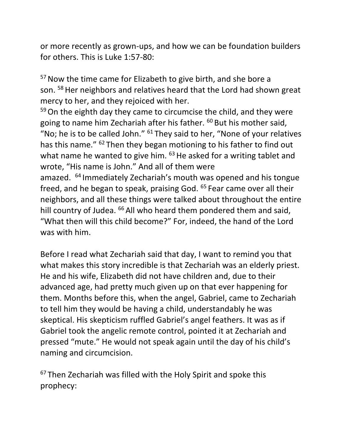or more recently as grown-ups, and how we can be foundation builders for others. This is Luke 1:57-80:

<sup>57</sup> Now the time came for Elizabeth to give birth, and she bore a son. <sup>58</sup> Her neighbors and relatives heard that the Lord had shown great mercy to her, and they rejoiced with her.

59 On the eighth day they came to circumcise the child, and they were going to name him Zechariah after his father. <sup>60</sup> But his mother said, "No; he is to be called John."  $61$  They said to her, "None of your relatives has this name." <sup>62</sup> Then they began motioning to his father to find out what name he wanted to give him.  $63$  He asked for a writing tablet and wrote, "His name is John." And all of them were amazed. <sup>64</sup> Immediately Zechariah's mouth was opened and his tongue freed, and he began to speak, praising God. <sup>65</sup> Fear came over all their neighbors, and all these things were talked about throughout the entire hill country of Judea. <sup>66</sup> All who heard them pondered them and said, "What then will this child become?" For, indeed, the hand of the Lord was with him.

Before I read what Zechariah said that day, I want to remind you that what makes this story incredible is that Zechariah was an elderly priest. He and his wife, Elizabeth did not have children and, due to their advanced age, had pretty much given up on that ever happening for them. Months before this, when the angel, Gabriel, came to Zechariah to tell him they would be having a child, understandably he was skeptical. His skepticism ruffled Gabriel's angel feathers. It was as if Gabriel took the angelic remote control, pointed it at Zechariah and pressed "mute." He would not speak again until the day of his child's naming and circumcision.

<sup>67</sup> Then Zechariah was filled with the Holy Spirit and spoke this prophecy: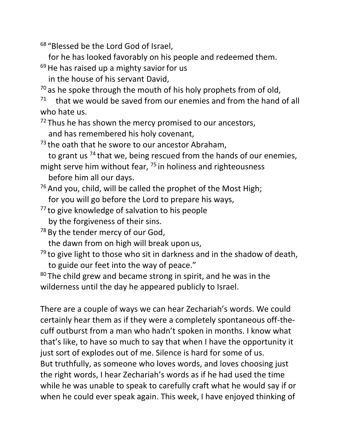<sup>68</sup> "Blessed be the Lord God of Israel,

for he has looked favorably on his people and redeemed them.

 $69$  He has raised up a mighty savior for us

in the house of his servant David,

 $70$  as he spoke through the mouth of his holy prophets from of old,

71 that we would be saved from our enemies and from the hand of all who hate us.

 $72$  Thus he has shown the mercy promised to our ancestors,

and has remembered his holy covenant,

 $73$  the oath that he swore to our ancestor Abraham,

to grant us <sup>74</sup> that we, being rescued from the hands of our enemies,

might serve him without fear, <sup>75</sup> in holiness and righteousness before him all our days.

 $76$  And you, child, will be called the prophet of the Most High; for you will go before the Lord to prepare his ways,

<sup>77</sup> to give knowledge of salvation to his people by the forgiveness of their sins.

<sup>78</sup> By the tender mercy of our God,

the dawn from on high will break upon us,

 $79$  to give light to those who sit in darkness and in the shadow of death, to guide our feet into the way of peace."

 $80$  The child grew and became strong in spirit, and he was in the wilderness until the day he appeared publicly to Israel.

There are a couple of ways we can hear Zechariah's words. We could certainly hear them as if they were a completely spontaneous off-thecuff outburst from a man who hadn't spoken in months. I know what that's like, to have so much to say that when I have the opportunity it just sort of explodes out of me. Silence is hard for some of us. But truthfully, as someone who loves words, and loves choosing just the right words, I hear Zechariah's words as if he had used the time while he was unable to speak to carefully craft what he would say if or when he could ever speak again. This week, I have enjoyed thinking of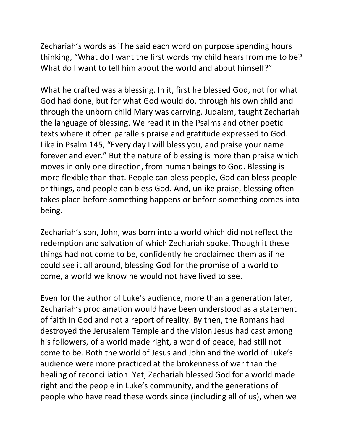Zechariah's words as if he said each word on purpose spending hours thinking, "What do I want the first words my child hears from me to be? What do I want to tell him about the world and about himself?"

What he crafted was a blessing. In it, first he blessed God, not for what God had done, but for what God would do, through his own child and through the unborn child Mary was carrying. Judaism, taught Zechariah the language of blessing. We read it in the Psalms and other poetic texts where it often parallels praise and gratitude expressed to God. Like in Psalm 145, "Every day I will bless you, and praise your name forever and ever." But the nature of blessing is more than praise which moves in only one direction, from human beings to God. Blessing is more flexible than that. People can bless people, God can bless people or things, and people can bless God. And, unlike praise, blessing often takes place before something happens or before something comes into being.

Zechariah's son, John, was born into a world which did not reflect the redemption and salvation of which Zechariah spoke. Though it these things had not come to be, confidently he proclaimed them as if he could see it all around, blessing God for the promise of a world to come, a world we know he would not have lived to see.

Even for the author of Luke's audience, more than a generation later, Zechariah's proclamation would have been understood as a statement of faith in God and not a report of reality. By then, the Romans had destroyed the Jerusalem Temple and the vision Jesus had cast among his followers, of a world made right, a world of peace, had still not come to be. Both the world of Jesus and John and the world of Luke's audience were more practiced at the brokenness of war than the healing of reconciliation. Yet, Zechariah blessed God for a world made right and the people in Luke's community, and the generations of people who have read these words since (including all of us), when we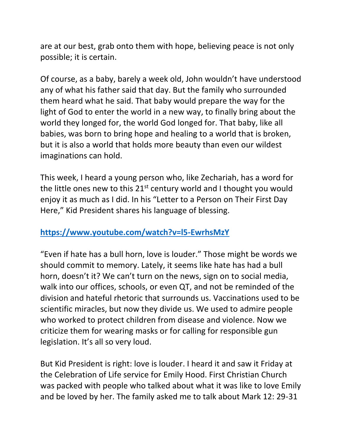are at our best, grab onto them with hope, believing peace is not only possible; it is certain.

Of course, as a baby, barely a week old, John wouldn't have understood any of what his father said that day. But the family who surrounded them heard what he said. That baby would prepare the way for the light of God to enter the world in a new way, to finally bring about the world they longed for, the world God longed for. That baby, like all babies, was born to bring hope and healing to a world that is broken, but it is also a world that holds more beauty than even our wildest imaginations can hold.

This week, I heard a young person who, like Zechariah, has a word for the little ones new to this  $21^{st}$  century world and I thought you would enjoy it as much as I did. In his "Letter to a Person on Their First Day Here," Kid President shares his language of blessing.

## **<https://www.youtube.com/watch?v=l5-EwrhsMzY>**

"Even if hate has a bull horn, love is louder." Those might be words we should commit to memory. Lately, it seems like hate has had a bull horn, doesn't it? We can't turn on the news, sign on to social media, walk into our offices, schools, or even QT, and not be reminded of the division and hateful rhetoric that surrounds us. Vaccinations used to be scientific miracles, but now they divide us. We used to admire people who worked to protect children from disease and violence. Now we criticize them for wearing masks or for calling for responsible gun legislation. It's all so very loud.

But Kid President is right: love is louder. I heard it and saw it Friday at the Celebration of Life service for Emily Hood. First Christian Church was packed with people who talked about what it was like to love Emily and be loved by her. The family asked me to talk about Mark 12: 29-31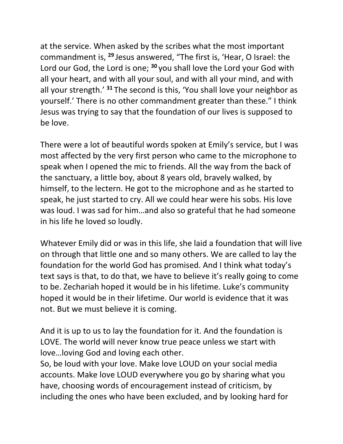at the service. When asked by the scribes what the most important commandment is, **<sup>29</sup>** Jesus answered, "The first is, 'Hear, O Israel: the Lord our God, the Lord is one; **<sup>30</sup>** you shall love the Lord your God with all your heart, and with all your soul, and with all your mind, and with all your strength.' **<sup>31</sup>** The second is this, 'You shall love your neighbor as yourself.' There is no other commandment greater than these." I think Jesus was trying to say that the foundation of our lives is supposed to be love.

There were a lot of beautiful words spoken at Emily's service, but I was most affected by the very first person who came to the microphone to speak when I opened the mic to friends. All the way from the back of the sanctuary, a little boy, about 8 years old, bravely walked, by himself, to the lectern. He got to the microphone and as he started to speak, he just started to cry. All we could hear were his sobs. His love was loud. I was sad for him…and also so grateful that he had someone in his life he loved so loudly.

Whatever Emily did or was in this life, she laid a foundation that will live on through that little one and so many others. We are called to lay the foundation for the world God has promised. And I think what today's text says is that, to do that, we have to believe it's really going to come to be. Zechariah hoped it would be in his lifetime. Luke's community hoped it would be in their lifetime. Our world is evidence that it was not. But we must believe it is coming.

And it is up to us to lay the foundation for it. And the foundation is LOVE. The world will never know true peace unless we start with love…loving God and loving each other.

So, be loud with your love. Make love LOUD on your social media accounts. Make love LOUD everywhere you go by sharing what you have, choosing words of encouragement instead of criticism, by including the ones who have been excluded, and by looking hard for